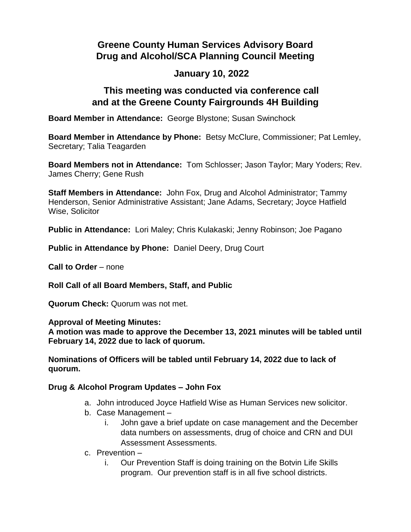# **Greene County Human Services Advisory Board Drug and Alcohol/SCA Planning Council Meeting**

## **January 10, 2022**

### **This meeting was conducted via conference call and at the Greene County Fairgrounds 4H Building**

**Board Member in Attendance:** George Blystone; Susan Swinchock

**Board Member in Attendance by Phone:** Betsy McClure, Commissioner; Pat Lemley, Secretary; Talia Teagarden

**Board Members not in Attendance:** Tom Schlosser; Jason Taylor; Mary Yoders; Rev. James Cherry; Gene Rush

**Staff Members in Attendance:** John Fox, Drug and Alcohol Administrator; Tammy Henderson, Senior Administrative Assistant; Jane Adams, Secretary; Joyce Hatfield Wise, Solicitor

**Public in Attendance:** Lori Maley; Chris Kulakaski; Jenny Robinson; Joe Pagano

**Public in Attendance by Phone:** Daniel Deery, Drug Court

**Call to Order** – none

**Roll Call of all Board Members, Staff, and Public**

**Quorum Check:** Quorum was not met.

**Approval of Meeting Minutes:**

**A motion was made to approve the December 13, 2021 minutes will be tabled until February 14, 2022 due to lack of quorum.**

**Nominations of Officers will be tabled until February 14, 2022 due to lack of quorum.**

#### **Drug & Alcohol Program Updates – John Fox**

- a. John introduced Joyce Hatfield Wise as Human Services new solicitor.
- b. Case Management
	- i. John gave a brief update on case management and the December data numbers on assessments, drug of choice and CRN and DUI Assessment Assessments.
- c. Prevention
	- i. Our Prevention Staff is doing training on the Botvin Life Skills program. Our prevention staff is in all five school districts.